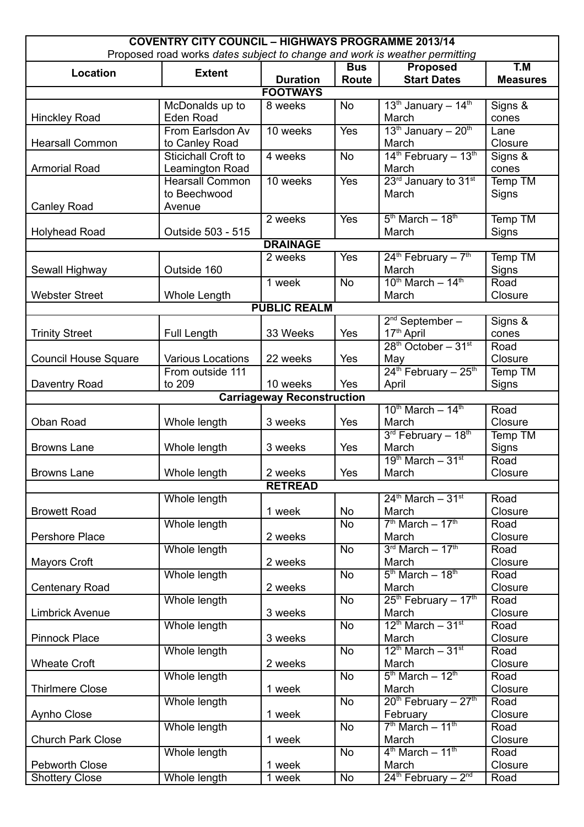| <b>COVENTRY CITY COUNCIL - HIGHWAYS PROGRAMME 2013/14</b><br>Proposed road works dates subject to change and work is weather permitting |                          |                                   |                 |                                              |                 |  |
|-----------------------------------------------------------------------------------------------------------------------------------------|--------------------------|-----------------------------------|-----------------|----------------------------------------------|-----------------|--|
| T.M<br><b>Proposed</b><br><b>Bus</b>                                                                                                    |                          |                                   |                 |                                              |                 |  |
| Location                                                                                                                                | <b>Extent</b>            | <b>Duration</b>                   | Route           | <b>Start Dates</b>                           | <b>Measures</b> |  |
|                                                                                                                                         |                          | <b>FOOTWAYS</b>                   |                 |                                              |                 |  |
|                                                                                                                                         | McDonalds up to          | 8 weeks                           | <b>No</b>       | $13th$ January - $14th$                      | Signs &         |  |
| <b>Hinckley Road</b>                                                                                                                    | Eden Road                |                                   |                 | March                                        | cones           |  |
|                                                                                                                                         | From Earlsdon Av         | 10 weeks                          | Yes             | 13 <sup>th</sup> January - 20 <sup>th</sup>  | Lane            |  |
| <b>Hearsall Common</b>                                                                                                                  | to Canley Road           |                                   |                 | March                                        | Closure         |  |
|                                                                                                                                         | Sticichall Croft to      | 4 weeks                           | <b>No</b>       | 14 <sup>th</sup> February - 13 <sup>th</sup> | Signs &         |  |
| <b>Armorial Road</b>                                                                                                                    | Leamington Road          |                                   |                 | March                                        | cones           |  |
|                                                                                                                                         | <b>Hearsall Common</b>   | 10 weeks                          | Yes             | 23rd January to 31st                         | Temp TM         |  |
|                                                                                                                                         | to Beechwood             |                                   |                 | March                                        | Signs           |  |
| <b>Canley Road</b>                                                                                                                      | Avenue                   |                                   |                 |                                              |                 |  |
|                                                                                                                                         |                          | 2 weeks                           | Yes             | $5th$ March $-18th$                          | <b>Temp TM</b>  |  |
| <b>Holyhead Road</b>                                                                                                                    | Outside 503 - 515        |                                   |                 | March                                        | Signs           |  |
|                                                                                                                                         |                          | <b>DRAINAGE</b>                   |                 |                                              |                 |  |
|                                                                                                                                         |                          | 2 weeks                           | Yes             | $24^{th}$ February - $7^{th}$                | Temp TM         |  |
| Sewall Highway                                                                                                                          | Outside 160              |                                   |                 | March                                        | Signs           |  |
|                                                                                                                                         |                          | 1 week                            | <b>No</b>       | $10^{th}$ March - $14^{th}$                  | Road            |  |
| <b>Webster Street</b>                                                                                                                   | Whole Length             |                                   |                 | March                                        | Closure         |  |
|                                                                                                                                         |                          | <b>PUBLIC REALM</b>               |                 |                                              |                 |  |
|                                                                                                                                         |                          |                                   |                 | 2 <sup>nd</sup> September –                  | Signs &         |  |
| <b>Trinity Street</b>                                                                                                                   | <b>Full Length</b>       | 33 Weeks                          | Yes             | 17 <sup>th</sup> April                       | cones           |  |
|                                                                                                                                         |                          |                                   |                 | $28th$ October - 31 <sup>st</sup>            | Road            |  |
| <b>Council House Square</b>                                                                                                             | <b>Various Locations</b> | 22 weeks                          | Yes             | May                                          | Closure         |  |
|                                                                                                                                         | From outside 111         |                                   |                 | $24th$ February - $25th$                     | Temp TM         |  |
| Daventry Road                                                                                                                           | to 209                   | 10 weeks                          | Yes             | April                                        | Signs           |  |
|                                                                                                                                         |                          | <b>Carriageway Reconstruction</b> |                 |                                              |                 |  |
|                                                                                                                                         |                          |                                   |                 | $10^{th}$ March - $14^{th}$                  | Road            |  |
| Oban Road                                                                                                                               | Whole length             | 3 weeks                           | Yes             | March                                        | Closure         |  |
|                                                                                                                                         |                          |                                   |                 | $3rd$ February - $18th$                      | Temp TM         |  |
| <b>Browns Lane</b>                                                                                                                      | Whole length             | 3 weeks                           | Yes             | March                                        | Signs           |  |
|                                                                                                                                         |                          |                                   |                 | $19th March - 31st$                          | Road            |  |
| <b>Browns Lane</b>                                                                                                                      | Whole length             | 2 weeks                           | Yes             | March                                        | Closure         |  |
| <b>RETREAD</b>                                                                                                                          |                          |                                   |                 |                                              |                 |  |
| $24th$ March - $31st$<br>Whole length<br>Road                                                                                           |                          |                                   |                 |                                              |                 |  |
| <b>Browett Road</b>                                                                                                                     |                          | 1 week                            | <b>No</b>       | March                                        | Closure         |  |
|                                                                                                                                         | Whole length             |                                   | <b>No</b>       | $7th March - 17th$                           | Road            |  |
| Pershore Place                                                                                                                          |                          | 2 weeks                           |                 | March                                        | Closure         |  |
|                                                                                                                                         | Whole length             |                                   | <b>No</b>       | $3rd March - 17th$                           | Road            |  |
| <b>Mayors Croft</b>                                                                                                                     |                          | 2 weeks                           |                 | March                                        | Closure         |  |
|                                                                                                                                         | Whole length             |                                   | <b>No</b>       | $5th March - 18th$                           | Road            |  |
| <b>Centenary Road</b>                                                                                                                   |                          | 2 weeks                           |                 | March                                        | Closure         |  |
|                                                                                                                                         | Whole length             |                                   | <b>No</b>       | 25 <sup>th</sup> February - 17 <sup>th</sup> | Road            |  |
| <b>Limbrick Avenue</b>                                                                                                                  |                          | 3 weeks                           |                 | March                                        | Closure         |  |
|                                                                                                                                         | Whole length             |                                   | <b>No</b>       | $12^{th}$ March - $31^{st}$                  | Road            |  |
| <b>Pinnock Place</b>                                                                                                                    |                          | 3 weeks                           |                 | March                                        | Closure         |  |
|                                                                                                                                         | Whole length             |                                   | <b>No</b>       | $12^{th}$ March - $31^{st}$                  | Road            |  |
| <b>Wheate Croft</b>                                                                                                                     |                          | 2 weeks                           |                 | March                                        | Closure         |  |
|                                                                                                                                         | Whole length             |                                   | <b>No</b>       | $5th March - 12th$                           | Road            |  |
| <b>Thirlmere Close</b>                                                                                                                  |                          | 1 week                            |                 | March                                        | Closure         |  |
|                                                                                                                                         | Whole length             |                                   | <b>No</b>       | $20th$ February - $27th$                     | Road            |  |
| Aynho Close                                                                                                                             |                          | 1 week                            |                 | February                                     | Closure         |  |
|                                                                                                                                         | Whole length             |                                   | <b>No</b>       | $7th March - 11th$                           | Road            |  |
| <b>Church Park Close</b>                                                                                                                |                          | 1 week                            |                 | March                                        | Closure         |  |
|                                                                                                                                         | Whole length             |                                   | $\overline{No}$ | $4th March - 11th$                           | Road            |  |
| <b>Pebworth Close</b>                                                                                                                   |                          | 1 week                            |                 | March                                        | Closure         |  |
| <b>Shottery Close</b>                                                                                                                   | Whole length             | 1 week                            | No              | $24th$ February - $2nd$                      | Road            |  |
|                                                                                                                                         |                          |                                   |                 |                                              |                 |  |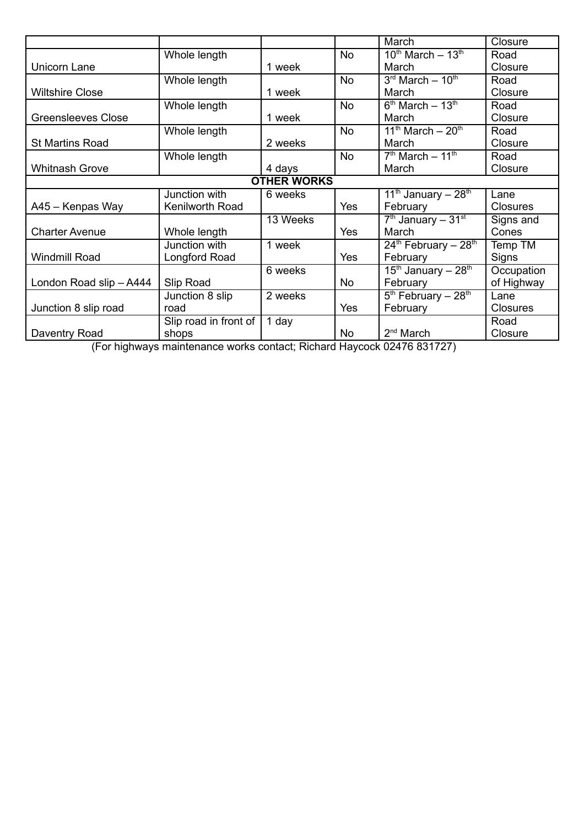|                           |                       |                    |           | March                             | Closure         |
|---------------------------|-----------------------|--------------------|-----------|-----------------------------------|-----------------|
|                           | Whole length          |                    | <b>No</b> | $10^{th}$ March - $13^{th}$       | Road            |
| Unicorn Lane              |                       | 1 week             |           | March                             | Closure         |
|                           | Whole length          |                    | <b>No</b> | $3rd$ March $-10th$               | Road            |
| <b>Wiltshire Close</b>    |                       | 1 week             |           | March                             | Closure         |
|                           | Whole length          |                    | <b>No</b> | $6th$ March $-13th$               | Road            |
| <b>Greensleeves Close</b> |                       | 1 week             |           | March                             | Closure         |
|                           | Whole length          |                    | <b>No</b> | $11th$ March $-20th$              | Road            |
| <b>St Martins Road</b>    |                       | 2 weeks            |           | March                             | Closure         |
|                           | Whole length          |                    | <b>No</b> | $7th$ March $-11th$               | Road            |
| <b>Whitnash Grove</b>     |                       | 4 days             |           | March                             | Closure         |
|                           |                       | <b>OTHER WORKS</b> |           |                                   |                 |
|                           | Junction with         | 6 weeks            |           | 11 <sup>th</sup> January - $28th$ | Lane            |
| A45 - Kenpas Way          | Kenilworth Road       |                    | Yes       | February                          | Closures        |
|                           |                       | 13 Weeks           |           | $7th$ January - 31 <sup>st</sup>  | Signs and       |
| <b>Charter Avenue</b>     | Whole length          |                    | Yes       | March                             | Cones           |
|                           | Junction with         | 1 week             |           | $24th$ February - $28th$          | Temp TM         |
| <b>Windmill Road</b>      | Longford Road         |                    | Yes       | February                          | Signs           |
|                           |                       | 6 weeks            |           | $15th$ January - $28th$           | Occupation      |
| London Road slip - A444   | Slip Road             |                    | <b>No</b> | February                          | of Highway      |
|                           | Junction 8 slip       | 2 weeks            |           | $5th$ February - 28 <sup>th</sup> | Lane            |
| Junction 8 slip road      | road                  |                    | Yes       | February                          | <b>Closures</b> |
|                           | Slip road in front of | 1 day              |           |                                   | Road            |
| Daventry Road             | shops                 |                    | <b>No</b> | $2nd$ March                       | Closure         |

(For highways maintenance works contact; Richard Haycock 02476 831727)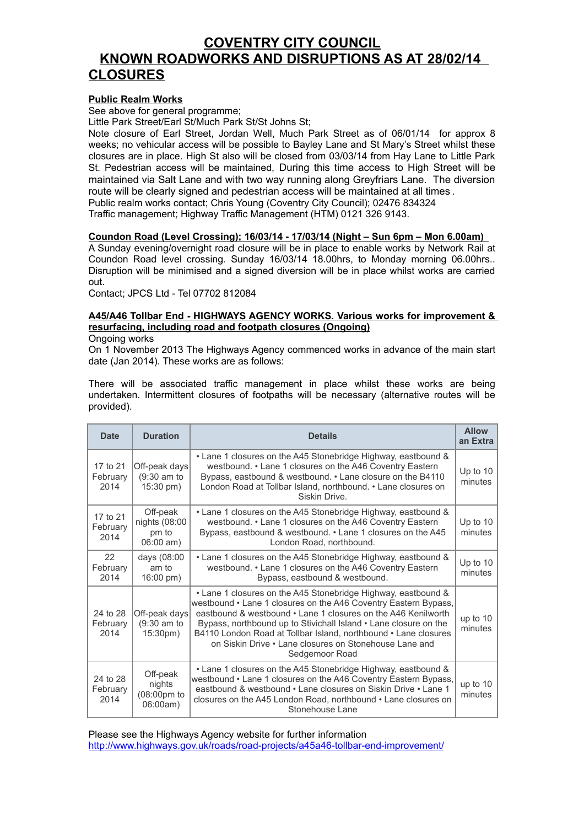## **COVENTRY CITY COUNCIL KNOWN ROADWORKS AND DISRUPTIONS AS AT 28/02/14 CLOSURES**

#### **Public Realm Works**

See above for general programme;

Little Park Street/Earl St/Much Park St/St Johns St;

Note closure of Earl Street, Jordan Well, Much Park Street as of 06/01/14 for approx 8 weeks; no vehicular access will be possible to Bayley Lane and St Mary's Street whilst these closures are in place. High St also will be closed from 03/03/14 from Hay Lane to Little Park St. Pedestrian access will be maintained, During this time access to High Street will be maintained via Salt Lane and with two way running along Greyfriars Lane. The diversion route will be clearly signed and pedestrian access will be maintained at all times . Public realm works contact; Chris Young (Coventry City Council); 02476 834324 Traffic management; Highway Traffic Management (HTM) 0121 326 9143.

#### **Coundon Road (Level Crossing); 16/03/14 - 17/03/14 (Night – Sun 6pm – Mon 6.00am)**

A Sunday evening/overnight road closure will be in place to enable works by Network Rail at Coundon Road level crossing. Sunday 16/03/14 18.00hrs, to Monday morning 06.00hrs.. Disruption will be minimised and a signed diversion will be in place whilst works are carried out.

Contact; JPCS Ltd - Tel 07702 812084

#### **A45/A46 Tollbar End - HIGHWAYS AGENCY WORKS. Various works for improvement & resurfacing, including road and footpath closures (Ongoing)**

Ongoing works

On 1 November 2013 The Highways Agency commenced works in advance of the main start date (Jan 2014). These works are as follows:

There will be associated traffic management in place whilst these works are being undertaken. Intermittent closures of footpaths will be necessary (alternative routes will be provided).

| <b>Date</b>                  | <b>Duration</b>                                       | <b>Details</b>                                                                                                                                                                                                                                                                                                                                                                                                       | <b>Allow</b><br>an Extra |  |
|------------------------------|-------------------------------------------------------|----------------------------------------------------------------------------------------------------------------------------------------------------------------------------------------------------------------------------------------------------------------------------------------------------------------------------------------------------------------------------------------------------------------------|--------------------------|--|
| 17 to 21<br>February<br>2014 | Off-peak days<br>(9:30 am to<br>15:30 pm)             | • Lane 1 closures on the A45 Stonebridge Highway, eastbound &<br>westbound. • Lane 1 closures on the A46 Coventry Eastern<br>Bypass, eastbound & westbound. • Lane closure on the B4110<br>London Road at Tollbar Island, northbound. • Lane closures on<br>Siskin Drive                                                                                                                                             |                          |  |
| 17 to 21<br>February<br>2014 | Off-peak<br>nights (08:00<br>pm to<br>$06:00$ am)     | • Lane 1 closures on the A45 Stonebridge Highway, eastbound &<br>westbound. • Lane 1 closures on the A46 Coventry Eastern<br>Bypass, eastbound & westbound. • Lane 1 closures on the A45<br>London Road, northbound.                                                                                                                                                                                                 | Up to $10$<br>minutes    |  |
| 22<br>February<br>2014       | days (08:00<br>am to<br>$16:00 \text{ pm}$ )          | • Lane 1 closures on the A45 Stonebridge Highway, eastbound &<br>westbound. • Lane 1 closures on the A46 Coventry Eastern<br>Bypass, eastbound & westbound.                                                                                                                                                                                                                                                          | Up to $10$<br>minutes    |  |
| 24 to 28<br>February<br>2014 | Off-peak days<br>$(9:30$ am to<br>15:30 <sub>pm</sub> | • Lane 1 closures on the A45 Stonebridge Highway, eastbound &<br>westbound • Lane 1 closures on the A46 Coventry Eastern Bypass,<br>eastbound & westbound • Lane 1 closures on the A46 Kenilworth<br>Bypass, northbound up to Stivichall Island • Lane closure on the<br>B4110 London Road at Tollbar Island, northbound • Lane closures<br>on Siskin Drive • Lane closures on Stonehouse Lane and<br>Sedgemoor Road | up to 10<br>minutes      |  |
| 24 to 28<br>February<br>2014 | Off-peak<br>nights<br>(08:00pm to<br>06:00am)         | • Lane 1 closures on the A45 Stonebridge Highway, eastbound &<br>westbound • Lane 1 closures on the A46 Coventry Eastern Bypass,<br>eastbound & westbound • Lane closures on Siskin Drive • Lane 1<br>closures on the A45 London Road, northbound • Lane closures on<br>Stonehouse Lane                                                                                                                              | up to $10$<br>minutes    |  |

Please see the Highways Agency website for further information <http://www.highways.gov.uk/roads/road-projects/a45a46-tollbar-end-improvement/>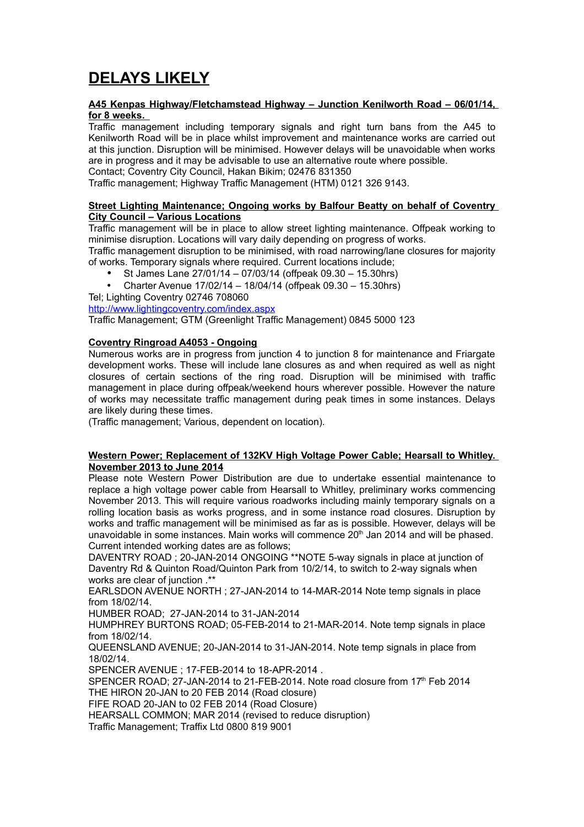# **DELAYS LIKELY**

#### **A45 Kenpas Highway/Fletchamstead Highway – Junction Kenilworth Road – 06/01/14, for 8 weeks.**

Traffic management including temporary signals and right turn bans from the A45 to Kenilworth Road will be in place whilst improvement and maintenance works are carried out at this junction. Disruption will be minimised. However delays will be unavoidable when works are in progress and it may be advisable to use an alternative route where possible. Contact; Coventry City Council, Hakan Bikim; 02476 831350

Traffic management; Highway Traffic Management (HTM) 0121 326 9143.

#### **Street Lighting Maintenance; Ongoing works by Balfour Beatty on behalf of Coventry City Council – Various Locations**

Traffic management will be in place to allow street lighting maintenance. Offpeak working to minimise disruption. Locations will vary daily depending on progress of works.

Traffic management disruption to be minimised, with road narrowing/lane closures for majority of works. Temporary signals where required. Current locations include;

- St James Lane 27/01/14 07/03/14 (offpeak 09.30 15.30hrs)
- Charter Avenue 17/02/14 18/04/14 (offpeak 09.30 15.30hrs)

Tel; Lighting Coventry 02746 708060

<http://www.lightingcoventry.com/index.aspx>

Traffic Management; GTM (Greenlight Traffic Management) 0845 5000 123

#### **Coventry Ringroad A4053 - Ongoing**

Numerous works are in progress from junction 4 to junction 8 for maintenance and Friargate development works. These will include lane closures as and when required as well as night closures of certain sections of the ring road. Disruption will be minimised with traffic management in place during offpeak/weekend hours wherever possible. However the nature of works may necessitate traffic management during peak times in some instances. Delays are likely during these times.

(Traffic management; Various, dependent on location).

#### **Western Power; Replacement of 132KV High Voltage Power Cable; Hearsall to Whitley. November 2013 to June 2014**

Please note Western Power Distribution are due to undertake essential maintenance to replace a high voltage power cable from Hearsall to Whitley, preliminary works commencing November 2013. This will require various roadworks including mainly temporary signals on a rolling location basis as works progress, and in some instance road closures. Disruption by works and traffic management will be minimised as far as is possible. However, delays will be unavoidable in some instances. Main works will commence  $20<sup>th</sup>$  Jan 2014 and will be phased. Current intended working dates are as follows;

DAVENTRY ROAD ; 20-JAN-2014 ONGOING \*\*NOTE 5-way signals in place at junction of Daventry Rd & Quinton Road/Quinton Park from 10/2/14, to switch to 2-way signals when works are clear of junction .\*\*

EARLSDON AVENUE NORTH ; 27-JAN-2014 to 14-MAR-2014 Note temp signals in place from 18/02/14.

HUMBER ROAD; 27-JAN-2014 to 31-JAN-2014

HUMPHREY BURTONS ROAD; 05-FEB-2014 to 21-MAR-2014. Note temp signals in place from 18/02/14.

QUEENSLAND AVENUE; 20-JAN-2014 to 31-JAN-2014. Note temp signals in place from 18/02/14.

SPENCER AVENUE ; 17-FEB-2014 to 18-APR-2014 .

SPENCER ROAD; 27-JAN-2014 to 21-FEB-2014. Note road closure from 17th Feb 2014 THE HIRON 20-JAN to 20 FEB 2014 (Road closure)

FIFE ROAD 20-JAN to 02 FEB 2014 (Road Closure)

HEARSALL COMMON; MAR 2014 (revised to reduce disruption)

Traffic Management; Traffix Ltd 0800 819 9001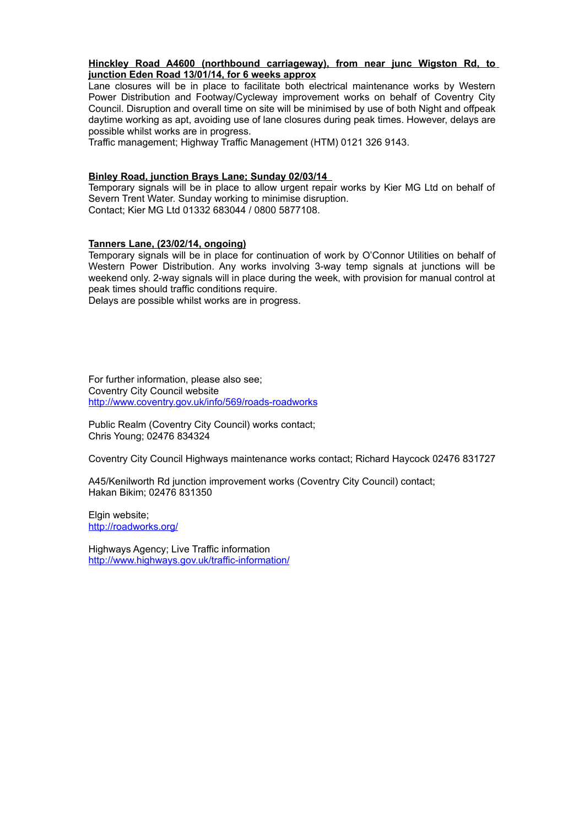#### **Hinckley Road A4600 (northbound carriageway), from near junc Wigston Rd, to junction Eden Road 13/01/14, for 6 weeks approx**

Lane closures will be in place to facilitate both electrical maintenance works by Western Power Distribution and Footway/Cycleway improvement works on behalf of Coventry City Council. Disruption and overall time on site will be minimised by use of both Night and offpeak daytime working as apt, avoiding use of lane closures during peak times. However, delays are possible whilst works are in progress.

Traffic management; Highway Traffic Management (HTM) 0121 326 9143.

#### **Binley Road, junction Brays Lane; Sunday 02/03/14**

Temporary signals will be in place to allow urgent repair works by Kier MG Ltd on behalf of Severn Trent Water. Sunday working to minimise disruption. Contact; Kier MG Ltd 01332 683044 / 0800 5877108.

#### **Tanners Lane, (23/02/14, ongoing)**

Temporary signals will be in place for continuation of work by O'Connor Utilities on behalf of Western Power Distribution. Any works involving 3-way temp signals at junctions will be weekend only. 2-way signals will in place during the week, with provision for manual control at peak times should traffic conditions require.

Delays are possible whilst works are in progress.

For further information, please also see; Coventry City Council website <http://www.coventry.gov.uk/info/569/roads-roadworks>

Public Realm (Coventry City Council) works contact; Chris Young; 02476 834324

Coventry City Council Highways maintenance works contact; Richard Haycock 02476 831727

A45/Kenilworth Rd junction improvement works (Coventry City Council) contact; Hakan Bikim; 02476 831350

Elgin website; <http://roadworks.org/>

Highways Agency; Live Traffic information <http://www.highways.gov.uk/traffic-information/>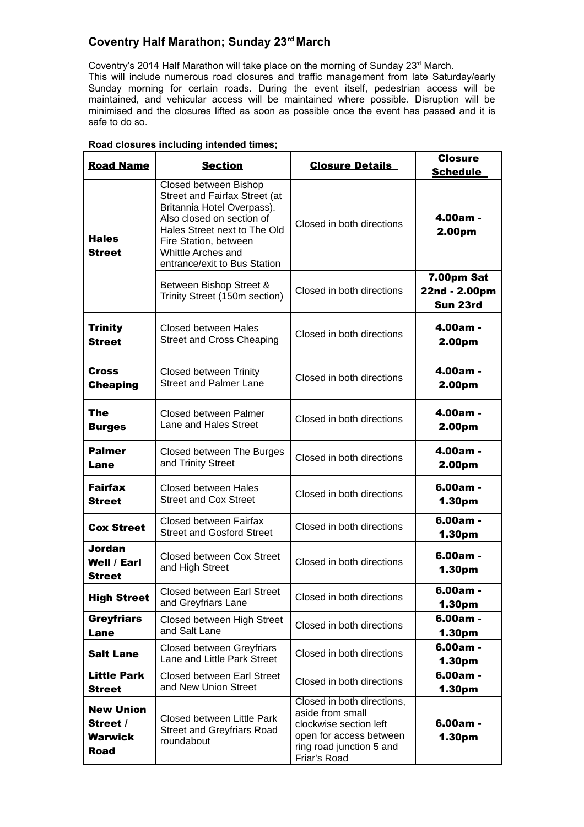### **Coventry Half Marathon; Sunday 23rd March**

Coventry's 2014 Half Marathon will take place on the morning of Sunday 23rd March. This will include numerous road closures and traffic management from late Saturday/early Sunday morning for certain roads. During the event itself, pedestrian access will be maintained, and vehicular access will be maintained where possible. Disruption will be minimised and the closures lifted as soon as possible once the event has passed and it is safe to do so.

| <b>Road Name</b>                                              | <b>Section</b>                                                                                                                                                                                                                   | <b>Closure Details</b>                                                                                                                          | <b>Closure</b><br><b>Schedule</b>       |
|---------------------------------------------------------------|----------------------------------------------------------------------------------------------------------------------------------------------------------------------------------------------------------------------------------|-------------------------------------------------------------------------------------------------------------------------------------------------|-----------------------------------------|
| <b>Hales</b><br><b>Street</b>                                 | Closed between Bishop<br>Street and Fairfax Street (at<br>Britannia Hotel Overpass).<br>Also closed on section of<br>Hales Street next to The Old<br>Fire Station, between<br>Whittle Arches and<br>entrance/exit to Bus Station | Closed in both directions                                                                                                                       | 4.00am -<br>2.00pm                      |
|                                                               | Between Bishop Street &<br>Trinity Street (150m section)                                                                                                                                                                         | Closed in both directions                                                                                                                       | 7.00pm Sat<br>22nd - 2.00pm<br>Sun 23rd |
| <b>Trinity</b><br><b>Street</b>                               | <b>Closed between Hales</b><br>Street and Cross Cheaping                                                                                                                                                                         | Closed in both directions                                                                                                                       | 4.00am -<br>2.00pm                      |
| Cross<br><b>Cheaping</b>                                      | Closed between Trinity<br><b>Street and Palmer Lane</b>                                                                                                                                                                          | Closed in both directions                                                                                                                       | 4.00am -<br>2.00pm                      |
| <b>The</b><br><b>Burges</b>                                   | Closed between Palmer<br>Lane and Hales Street                                                                                                                                                                                   | Closed in both directions                                                                                                                       | 4.00am -<br>2.00pm                      |
| <b>Palmer</b><br>Lane                                         | Closed between The Burges<br>and Trinity Street                                                                                                                                                                                  | Closed in both directions                                                                                                                       | 4.00am -<br>2.00pm                      |
| <b>Fairfax</b><br><b>Street</b>                               | <b>Closed between Hales</b><br><b>Street and Cox Street</b>                                                                                                                                                                      | Closed in both directions                                                                                                                       | $6.00am -$<br>1.30pm                    |
| <b>Cox Street</b>                                             | Closed between Fairfax<br><b>Street and Gosford Street</b>                                                                                                                                                                       | Closed in both directions                                                                                                                       | $6.00am -$<br>1.30pm                    |
| <b>Jordan</b><br><b>Well / Earl</b><br><b>Street</b>          | Closed between Cox Street<br>and High Street                                                                                                                                                                                     | Closed in both directions                                                                                                                       | $6.00am -$<br>1.30pm                    |
| <b>High Street</b>                                            | Closed between Earl Street<br>and Greyfriars Lane                                                                                                                                                                                | Closed in both directions                                                                                                                       | $6.00am -$<br>1.30pm                    |
| <b>Greyfriars</b><br>Lane                                     | Closed between High Street<br>and Salt Lane                                                                                                                                                                                      | Closed in both directions                                                                                                                       | $6.00am -$<br>1.30pm                    |
| <b>Salt Lane</b>                                              | <b>Closed between Greyfriars</b><br>Lane and Little Park Street                                                                                                                                                                  | Closed in both directions                                                                                                                       | $6.00am -$<br>1.30pm                    |
| <b>Little Park</b><br><b>Street</b>                           | <b>Closed between Earl Street</b><br>and New Union Street                                                                                                                                                                        | Closed in both directions                                                                                                                       | $6.00am -$<br>1.30pm                    |
| <b>New Union</b><br>Street /<br><b>Warwick</b><br><b>Road</b> | Closed between Little Park<br><b>Street and Greyfriars Road</b><br>roundabout                                                                                                                                                    | Closed in both directions,<br>aside from small<br>clockwise section left<br>open for access between<br>ring road junction 5 and<br>Friar's Road | $6.00am -$<br>1.30pm                    |

#### **Road closures including intended times;**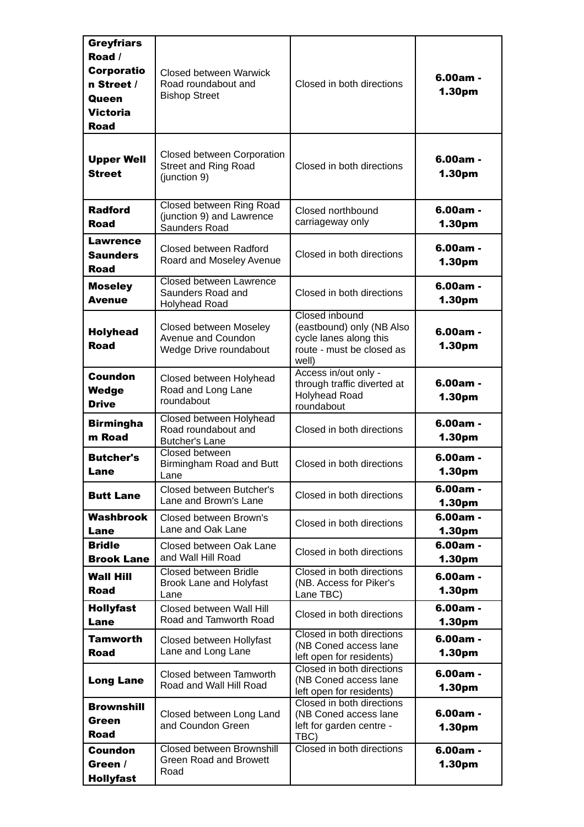| <b>Greyfriars</b><br>Road /<br><b>Corporatio</b><br>n Street /<br><b>Queen</b><br>Victoria<br><b>Road</b> | Closed between Warwick<br>Road roundabout and<br><b>Bishop Street</b>     | Closed in both directions                                                                                   | $6.00am -$<br>1.30pm |
|-----------------------------------------------------------------------------------------------------------|---------------------------------------------------------------------------|-------------------------------------------------------------------------------------------------------------|----------------------|
| <b>Upper Well</b><br><b>Street</b>                                                                        | Closed between Corporation<br><b>Street and Ring Road</b><br>(junction 9) | Closed in both directions                                                                                   | $6.00am -$<br>1.30pm |
| <b>Radford</b><br><b>Road</b>                                                                             | Closed between Ring Road<br>(junction 9) and Lawrence<br>Saunders Road    | Closed northbound<br>carriageway only                                                                       | $6.00am -$<br>1.30pm |
| Lawrence<br><b>Saunders</b><br><b>Road</b>                                                                | Closed between Radford<br>Roard and Moseley Avenue                        | Closed in both directions                                                                                   | $6.00am -$<br>1.30pm |
| <b>Moseley</b><br><b>Avenue</b>                                                                           | Closed between Lawrence<br>Saunders Road and<br><b>Holyhead Road</b>      | Closed in both directions                                                                                   | $6.00am -$<br>1.30pm |
| <b>Holyhead</b><br><b>Road</b>                                                                            | Closed between Moseley<br>Avenue and Coundon<br>Wedge Drive roundabout    | Closed inbound<br>(eastbound) only (NB Also<br>cycle lanes along this<br>route - must be closed as<br>well) | 6.00am -<br>1.30pm   |
| <b>Coundon</b><br>Wedge<br><b>Drive</b>                                                                   | Closed between Holyhead<br>Road and Long Lane<br>roundabout               | Access in/out only -<br>through traffic diverted at<br><b>Holyhead Road</b><br>roundabout                   | $6.00am -$<br>1.30pm |
| <b>Birmingha</b><br>m Road                                                                                | Closed between Holyhead<br>Road roundabout and<br><b>Butcher's Lane</b>   | Closed in both directions                                                                                   | $6.00am -$<br>1.30pm |
| <b>Butcher's</b><br>Lane                                                                                  | Closed between<br>Birmingham Road and Butt<br>Lane                        | Closed in both directions                                                                                   | 6.00am -<br>1.30pm   |
| <b>Butt Lane</b>                                                                                          | Closed between Butcher's<br>Lane and Brown's Lane                         | Closed in both directions                                                                                   | $6.00am -$<br>1.30pm |
| <b>Washbrook</b><br>Lane                                                                                  | Closed between Brown's<br>Lane and Oak Lane                               | Closed in both directions                                                                                   | $6.00am -$<br>1.30pm |
| <b>Bridle</b><br><b>Brook Lane</b>                                                                        | Closed between Oak Lane<br>and Wall Hill Road                             | Closed in both directions                                                                                   | $6.00am -$<br>1.30pm |
| <b>Wall Hill</b><br><b>Road</b>                                                                           | Closed between Bridle<br>Brook Lane and Holyfast<br>Lane                  | Closed in both directions<br>(NB. Access for Piker's<br>Lane TBC)                                           | 6.00am -<br>1.30pm   |
| <b>Hollyfast</b><br>Lane                                                                                  | Closed between Wall Hill<br>Road and Tamworth Road                        | Closed in both directions                                                                                   | $6.00am -$<br>1.30pm |
| Tamworth<br><b>Road</b>                                                                                   | Closed between Hollyfast<br>Lane and Long Lane                            | Closed in both directions<br>(NB Coned access lane<br>left open for residents)                              | 6.00am -<br>1.30pm   |
| <b>Long Lane</b>                                                                                          | Closed between Tamworth<br>Road and Wall Hill Road                        | Closed in both directions<br>(NB Coned access lane<br>left open for residents)                              | $6.00am -$<br>1.30pm |
| <b>Brownshill</b><br>Green<br><b>Road</b>                                                                 | Closed between Long Land<br>and Coundon Green                             | Closed in both directions<br>(NB Coned access lane<br>left for garden centre -<br>TBC)                      | 6.00am -<br>1.30pm   |
| <b>Coundon</b><br>Green /<br><b>Hollyfast</b>                                                             | <b>Closed between Brownshill</b><br><b>Green Road and Browett</b><br>Road | Closed in both directions                                                                                   | 6.00am -<br>1.30pm   |